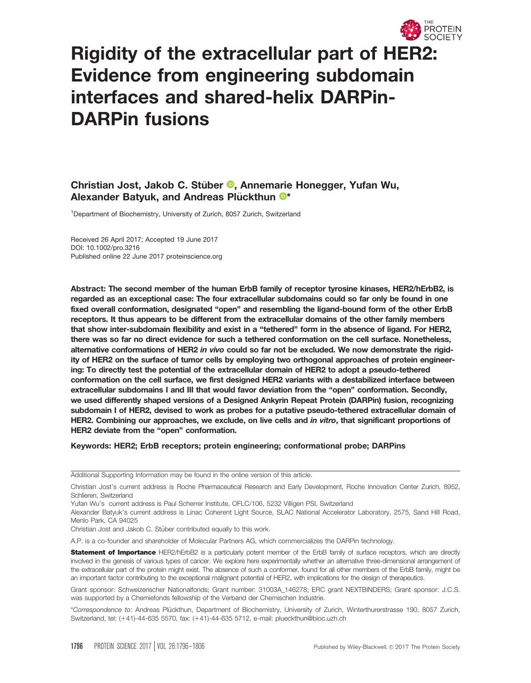

# Rigidity of the extracellular part of HER2: Evidence from engineering subdomain interfaces and shared-helix DARPin-DARPin fusions

# Christian Jost, Jakob C. Stuber € [,](http://orcid.org/0000-0002-3406-0664) Annemarie Honegger, Yufan Wu, Alexander Batyuk, and Andreas Plückthun <sup>®\*</sup>

<sup>1</sup>Department of Biochemistry, University of Zurich, 8057 Zurich, Switzerland

Received 26 April 2017; Accepted 19 June 2017 DOI: 10.1002/pro.3216 Published online 22 June 2017 proteinscience.org

Abstract: The second member of the human ErbB family of receptor tyrosine kinases, HER2/hErbB2, is regarded as an exceptional case: The four extracellular subdomains could so far only be found in one fixed overall conformation, designated "open" and resembling the ligand-bound form of the other ErbB receptors. It thus appears to be different from the extracellular domains of the other family members that show inter-subdomain flexibility and exist in a "tethered" form in the absence of ligand. For HER2, there was so far no direct evidence for such a tethered conformation on the cell surface. Nonetheless, alternative conformations of HER2 in vivo could so far not be excluded. We now demonstrate the rigidity of HER2 on the surface of tumor cells by employing two orthogonal approaches of protein engineering: To directly test the potential of the extracellular domain of HER2 to adopt a pseudo-tethered conformation on the cell surface, we first designed HER2 variants with a destabilized interface between extracellular subdomains I and III that would favor deviation from the "open" conformation. Secondly, we used differently shaped versions of a Designed Ankyrin Repeat Protein (DARPin) fusion, recognizing subdomain I of HER2, devised to work as probes for a putative pseudo-tethered extracellular domain of HER2. Combining our approaches, we exclude, on live cells and in vitro, that significant proportions of HER2 deviate from the "open" conformation.

#### Keywords: HER2; ErbB receptors; protein engineering; conformational probe; DARPins

Additional Supporting Information may be found in the online version of this article.

Yufan Wu's current address is Paul Scherrer Institute, OFLC/106, 5232 Villigen PSI, Switzerland

Alexander Batyuk's current address is Linac Coherent Light Source, SLAC National Accelerator Laboratory, 2575, Sand Hill Road, Menlo Park, CA 94025

Christian Jost and Jakob C. Stüber contributed equally to this work.

A.P. is a co-founder and shareholder of Molecular Partners AG, which commercializes the DARPin technology.

Statement of Importance HER2/hErbB2 is a particularly potent member of the ErbB family of surface receptors, which are directly involved in the genesis of various types of cancer. We explore here experimentally whether an alternative three-dimensional arrangement of the extracellular part of the protein might exist. The absence of such a conformer, found for all other members of the ErbB family, might be an important factor contributing to the exceptional malignant potential of HER2, with implications for the design of therapeutics.

Grant sponsor: Schweizerischer Nationalfonds; Grant number: 31003A\_146278; ERC grant NEXTBINDERS; Grant sponsor: J.C.S. was supported by a Chemiefonds fellowship of the Verband der Chemischen Industrie.

\*Correspondence to: Andreas Plückthun, Department of Biochemistry, University of Zurich, Winterthurerstrasse 190, 8057 Zurich, Switzerland, tel: (+41)-44-635 5570, fax: (+41)-44-635 5712, e-mail: plueckthun@bioc.uzh.ch

Christian Jost's current address is Roche Pharmaceutical Research and Early Development, Roche Innovation Center Zurich, 8952, Schlieren, Switzerland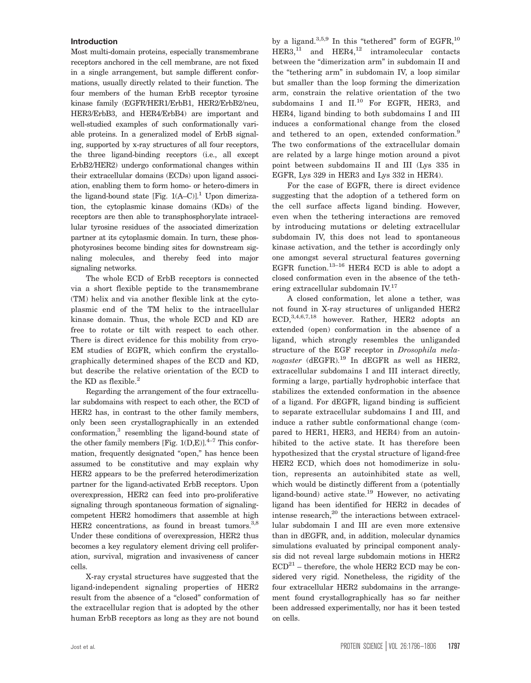#### Introduction

Most multi-domain proteins, especially transmembrane receptors anchored in the cell membrane, are not fixed in a single arrangement, but sample different conformations, usually directly related to their function. The four members of the human ErbB receptor tyrosine kinase family (EGFR/HER1/ErbB1, HER2/ErbB2/neu, HER3/ErbB3, and HER4/ErbB4) are important and well-studied examples of such conformationally variable proteins. In a generalized model of ErbB signaling, supported by x-ray structures of all four receptors, the three ligand-binding receptors (i.e., all except ErbB2/HER2) undergo conformational changes within their extracellular domains (ECDs) upon ligand association, enabling them to form homo- or hetero-dimers in the ligand-bound state [Fig.  $1(A-C)$ ].<sup>1</sup> Upon dimerization, the cytoplasmic kinase domains (KDs) of the receptors are then able to transphosphorylate intracellular tyrosine residues of the associated dimerization partner at its cytoplasmic domain. In turn, these phosphotyrosines become binding sites for downstream signaling molecules, and thereby feed into major signaling networks.

The whole ECD of ErbB receptors is connected via a short flexible peptide to the transmembrane (TM) helix and via another flexible link at the cytoplasmic end of the TM helix to the intracellular kinase domain. Thus, the whole ECD and KD are free to rotate or tilt with respect to each other. There is direct evidence for this mobility from cryo-EM studies of EGFR, which confirm the crystallographically determined shapes of the ECD and KD, but describe the relative orientation of the ECD to the KD as flexible.<sup>2</sup>

Regarding the arrangement of the four extracellular subdomains with respect to each other, the ECD of HER2 has, in contrast to the other family members, only been seen crystallographically in an extended conformation,3 resembling the ligand-bound state of the other family members [Fig. 1(D,E)]. $^{4-7}$  This conformation, frequently designated "open," has hence been assumed to be constitutive and may explain why HER2 appears to be the preferred heterodimerization partner for the ligand-activated ErbB receptors. Upon overexpression, HER2 can feed into pro-proliferative signaling through spontaneous formation of signalingcompetent HER2 homodimers that assemble at high HER2 concentrations, as found in breast tumors.<sup>3,8</sup> Under these conditions of overexpression, HER2 thus becomes a key regulatory element driving cell proliferation, survival, migration and invasiveness of cancer cells.

X-ray crystal structures have suggested that the ligand-independent signaling properties of HER2 result from the absence of a "closed" conformation of the extracellular region that is adopted by the other human ErbB receptors as long as they are not bound

by a ligand. $3,5,9$  In this "tethered" form of EGFR, $10$  $HER3<sub>11</sub>$  and  $HER4<sub>12</sub>$  intramolecular contacts between the "dimerization arm" in subdomain II and the "tethering arm" in subdomain IV, a loop similar but smaller than the loop forming the dimerization arm, constrain the relative orientation of the two subdomains I and II.<sup>10</sup> For EGFR, HER3, and HER4, ligand binding to both subdomains I and III induces a conformational change from the closed and tethered to an open, extended conformation.<sup>9</sup> The two conformations of the extracellular domain are related by a large hinge motion around a pivot point between subdomains II and III (Lys 335 in EGFR, Lys 329 in HER3 and Lys 332 in HER4).

For the case of EGFR, there is direct evidence suggesting that the adoption of a tethered form on the cell surface affects ligand binding. However, even when the tethering interactions are removed by introducing mutations or deleting extracellular subdomain IV, this does not lead to spontaneous kinase activation, and the tether is accordingly only one amongst several structural features governing EGFR function.<sup>13-16</sup> HER4 ECD is able to adopt a closed conformation even in the absence of the tethering extracellular subdomain IV.<sup>17</sup>

A closed conformation, let alone a tether, was not found in X-ray structures of unliganded HER2 ECD, 3,4,6,7,18 however. Rather, HER2 adopts an extended (open) conformation in the absence of a ligand, which strongly resembles the unliganded structure of the EGF receptor in Drosophila mela $nogaster$  (dEGFR).<sup>19</sup> In dEGFR as well as HER2, extracellular subdomains I and III interact directly, forming a large, partially hydrophobic interface that stabilizes the extended conformation in the absence of a ligand. For dEGFR, ligand binding is sufficient to separate extracellular subdomains I and III, and induce a rather subtle conformational change (compared to HER1, HER3, and HER4) from an autoinhibited to the active state. It has therefore been hypothesized that the crystal structure of ligand-free HER2 ECD, which does not homodimerize in solution, represents an autoinhibited state as well, which would be distinctly different from a (potentially ligand-bound) active state.<sup>19</sup> However, no activating ligand has been identified for HER2 in decades of intense research,<sup>20</sup> the interactions between extracellular subdomain I and III are even more extensive than in dEGFR, and, in addition, molecular dynamics simulations evaluated by principal component analysis did not reveal large subdomain motions in HER2  $ECD<sup>21</sup>$  – therefore, the whole HER2 ECD may be considered very rigid. Nonetheless, the rigidity of the four extracellular HER2 subdomains in the arrangement found crystallographically has so far neither been addressed experimentally, nor has it been tested on cells.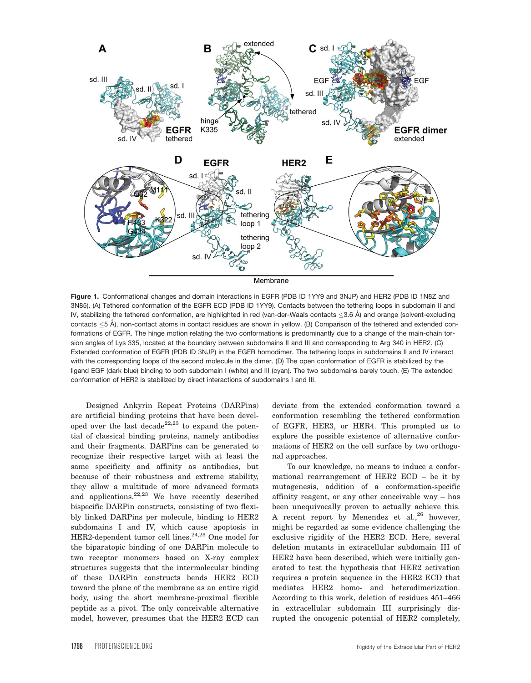

Figure 1. Conformational changes and domain interactions in EGFR (PDB ID 1YY9 and 3NJP) and HER2 (PDB ID 1N8Z and 3N85). (A) Tethered conformation of the EGFR ECD (PDB ID 1YY9). Contacts between the tethering loops in subdomain II and IV, stabilizing the tethered conformation, are highlighted in red (van-der-Waals contacts  $\leq$ 3.6 Å) and orange (solvent-excluding contacts  $\leq$ 5 Å), non-contact atoms in contact residues are shown in yellow. (B) Comparison of the tethered and extended conformations of EGFR. The hinge motion relating the two conformations is predominantly due to a change of the main-chain torsion angles of Lys 335, located at the boundary between subdomains II and III and corresponding to Arg 340 in HER2. (C) Extended conformation of EGFR (PDB ID 3NJP) in the EGFR homodimer. The tethering loops in subdomains II and IV interact with the corresponding loops of the second molecule in the dimer. (D) The open conformation of EGFR is stabilized by the ligand EGF (dark blue) binding to both subdomain I (white) and III (cyan). The two subdomains barely touch. (E) The extended conformation of HER2 is stabilized by direct interactions of subdomains I and III.

Designed Ankyrin Repeat Proteins (DARPins) are artificial binding proteins that have been developed over the last decade<sup>22,23</sup> to expand the potential of classical binding proteins, namely antibodies and their fragments. DARPins can be generated to recognize their respective target with at least the same specificity and affinity as antibodies, but because of their robustness and extreme stability, they allow a multitude of more advanced formats and applications.<sup>22,23</sup> We have recently described bispecific DARPin constructs, consisting of two flexibly linked DARPins per molecule, binding to HER2 subdomains I and IV, which cause apoptosis in HER2-dependent tumor cell lines.<sup>24,25</sup> One model for the biparatopic binding of one DARPin molecule to two receptor monomers based on X-ray complex structures suggests that the intermolecular binding of these DARPin constructs bends HER2 ECD toward the plane of the membrane as an entire rigid body, using the short membrane-proximal flexible peptide as a pivot. The only conceivable alternative model, however, presumes that the HER2 ECD can

deviate from the extended conformation toward a conformation resembling the tethered conformation of EGFR, HER3, or HER4. This prompted us to explore the possible existence of alternative conformations of HER2 on the cell surface by two orthogonal approaches.

To our knowledge, no means to induce a conformational rearrangement of HER2 ECD – be it by mutagenesis, addition of a conformation-specific affinity reagent, or any other conceivable way – has been unequivocally proven to actually achieve this. A recent report by Menendez et al.,  $26$  however, might be regarded as some evidence challenging the exclusive rigidity of the HER2 ECD. Here, several deletion mutants in extracellular subdomain III of HER2 have been described, which were initially generated to test the hypothesis that HER2 activation requires a protein sequence in the HER2 ECD that mediates HER2 homo- and heterodimerization. According to this work, deletion of residues 451–466 in extracellular subdomain III surprisingly disrupted the oncogenic potential of HER2 completely,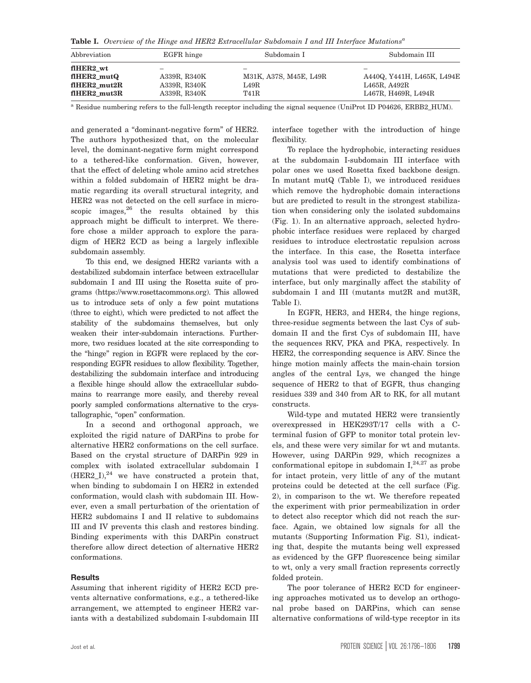Table I. Overview of the Hinge and HER2 Extracellular Subdomain I and III Interface Mutations<sup>a</sup>

| Abbreviation               | EGFR hinge   | Subdomain I              | Subdomain III              |
|----------------------------|--------------|--------------------------|----------------------------|
| fIHER2 wt                  | -            | $\overline{\phantom{a}}$ | -                          |
| flHER2 mutQ                | A339R, R340K | M31K, A37S, M45E, L49R   | A440Q, Y441H, L465K, L494E |
| $f$ HER2 mut <sub>2R</sub> | A339R, R340K | L49R                     | L465R, A492R               |
| flHER2 mut3R               | A339R, R340K | <b>T41R</b>              | L467R, H469R, L494R        |

<sup>a</sup> Residue numbering refers to the full-length receptor including the signal sequence (UniProt ID P04626, ERBB2 HUM).

and generated a "dominant-negative form" of HER2. The authors hypothesized that, on the molecular level, the dominant-negative form might correspond to a tethered-like conformation. Given, however, that the effect of deleting whole amino acid stretches within a folded subdomain of HER2 might be dramatic regarding its overall structural integrity, and HER2 was not detected on the cell surface in microscopic images, $26$  the results obtained by this approach might be difficult to interpret. We therefore chose a milder approach to explore the paradigm of HER2 ECD as being a largely inflexible subdomain assembly.

To this end, we designed HER2 variants with a destabilized subdomain interface between extracellular subdomain I and III using the Rosetta suite of programs [\(https://www.rosettacommons.org\)](https://www.rosettacommons.org). This allowed us to introduce sets of only a few point mutations (three to eight), which were predicted to not affect the stability of the subdomains themselves, but only weaken their inter-subdomain interactions. Furthermore, two residues located at the site corresponding to the "hinge" region in EGFR were replaced by the corresponding EGFR residues to allow flexibility. Together, destabilizing the subdomain interface and introducing a flexible hinge should allow the extracellular subdomains to rearrange more easily, and thereby reveal poorly sampled conformations alternative to the crystallographic, "open" conformation.

In a second and orthogonal approach, we exploited the rigid nature of DARPins to probe for alternative HER2 conformations on the cell surface. Based on the crystal structure of DARPin 929 in complex with isolated extracellular subdomain I  $(HER2 I)<sup>24</sup>$  we have constructed a protein that, when binding to subdomain I on HER2 in extended conformation, would clash with subdomain III. However, even a small perturbation of the orientation of HER2 subdomains I and II relative to subdomains III and IV prevents this clash and restores binding. Binding experiments with this DARPin construct therefore allow direct detection of alternative HER2 conformations.

#### **Results**

Assuming that inherent rigidity of HER2 ECD prevents alternative conformations, e.g., a tethered-like arrangement, we attempted to engineer HER2 variants with a destabilized subdomain I-subdomain III

interface together with the introduction of hinge flexibility.

To replace the hydrophobic, interacting residues at the subdomain I-subdomain III interface with polar ones we used Rosetta fixed backbone design. In mutant mutQ (Table I), we introduced residues which remove the hydrophobic domain interactions but are predicted to result in the strongest stabilization when considering only the isolated subdomains (Fig. 1). In an alternative approach, selected hydrophobic interface residues were replaced by charged residues to introduce electrostatic repulsion across the interface. In this case, the Rosetta interface analysis tool was used to identify combinations of mutations that were predicted to destabilize the interface, but only marginally affect the stability of subdomain I and III (mutants mut2R and mut3R, Table I).

In EGFR, HER3, and HER4, the hinge regions, three-residue segments between the last Cys of subdomain II and the first Cys of subdomain III, have the sequences RKV, PKA and PKA, respectively. In HER2, the corresponding sequence is ARV. Since the hinge motion mainly affects the main-chain torsion angles of the central Lys, we changed the hinge sequence of HER2 to that of EGFR, thus changing residues 339 and 340 from AR to RK, for all mutant constructs.

Wild-type and mutated HER2 were transiently overexpressed in HEK293T/17 cells with a Cterminal fusion of GFP to monitor total protein levels, and these were very similar for wt and mutants. However, using DARPin 929, which recognizes a conformational epitope in subdomain  $I^{24,27}$ , as probe for intact protein, very little of any of the mutant proteins could be detected at the cell surface (Fig. 2), in comparison to the wt. We therefore repeated the experiment with prior permeabilization in order to detect also receptor which did not reach the surface. Again, we obtained low signals for all the mutants (Supporting Information Fig. S1), indicating that, despite the mutants being well expressed as evidenced by the GFP fluorescence being similar to wt, only a very small fraction represents correctly folded protein.

The poor tolerance of HER2 ECD for engineering approaches motivated us to develop an orthogonal probe based on DARPins, which can sense alternative conformations of wild-type receptor in its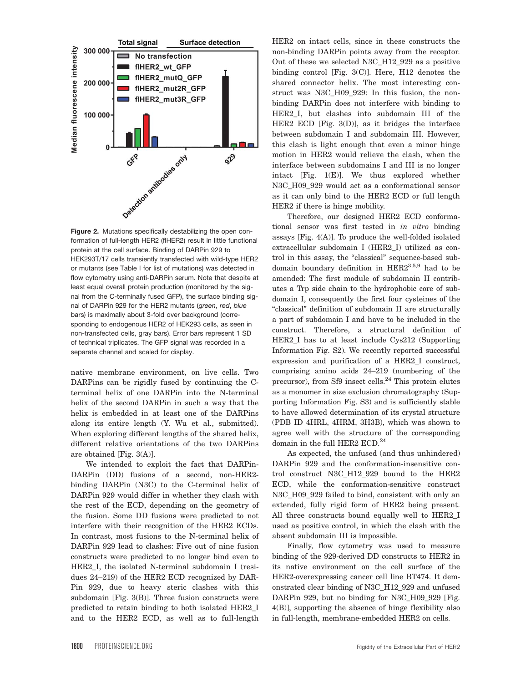

Figure 2. Mutations specifically destabilizing the open conformation of full-length HER2 (flHER2) result in little functional protein at the cell surface. Binding of DARPin 929 to HEK293T/17 cells transiently transfected with wild-type HER2 or mutants (see Table I for list of mutations) was detected in flow cytometry using anti-DARPin serum. Note that despite at least equal overall protein production (monitored by the signal from the C-terminally fused GFP), the surface binding signal of DARPin 929 for the HER2 mutants (green, red, blue bars) is maximally about 3-fold over background (corresponding to endogenous HER2 of HEK293 cells, as seen in non-transfected cells, gray bars). Error bars represent 1 SD of technical triplicates. The GFP signal was recorded in a separate channel and scaled for display.

native membrane environment, on live cells. Two DARPins can be rigidly fused by continuing the Cterminal helix of one DARPin into the N-terminal helix of the second DARPin in such a way that the helix is embedded in at least one of the DARPins along its entire length (Y. Wu et al., submitted). When exploring different lengths of the shared helix, different relative orientations of the two DARPins are obtained [Fig. 3(A)].

We intended to exploit the fact that DARPin-DARPin (DD) fusions of a second, non-HER2 binding DARPin (N3C) to the C-terminal helix of DARPin 929 would differ in whether they clash with the rest of the ECD, depending on the geometry of the fusion. Some DD fusions were predicted to not interfere with their recognition of the HER2 ECDs. In contrast, most fusions to the N-terminal helix of DARPin 929 lead to clashes: Five out of nine fusion constructs were predicted to no longer bind even to HER2 I, the isolated N-terminal subdomain I (residues 24–219) of the HER2 ECD recognized by DAR-Pin 929, due to heavy steric clashes with this subdomain [Fig. 3(B)]. Three fusion constructs were predicted to retain binding to both isolated HER2\_I and to the HER2 ECD, as well as to full-length

HER2 on intact cells, since in these constructs the non-binding DARPin points away from the receptor. Out of these we selected N3C\_H12\_929 as a positive binding control [Fig. 3(C)]. Here, H12 denotes the shared connector helix. The most interesting construct was N3C\_H09\_929: In this fusion, the nonbinding DARPin does not interfere with binding to HER2\_I, but clashes into subdomain III of the HER2 ECD [Fig. 3(D)], as it bridges the interface between subdomain I and subdomain III. However, this clash is light enough that even a minor hinge motion in HER2 would relieve the clash, when the interface between subdomains I and III is no longer intact [Fig. 1(E)]. We thus explored whether N3C\_H09\_929 would act as a conformational sensor as it can only bind to the HER2 ECD or full length HER2 if there is hinge mobility.

Therefore, our designed HER2 ECD conformational sensor was first tested in in vitro binding assays [Fig. 4(A)]. To produce the well-folded isolated extracellular subdomain I (HER2\_I) utilized as control in this assay, the "classical" sequence-based subdomain boundary definition in  $HER2^{3,5,9}$  had to be amended: The first module of subdomain II contributes a Trp side chain to the hydrophobic core of subdomain I, consequently the first four cysteines of the "classical" definition of subdomain II are structurally a part of subdomain I and have to be included in the construct. Therefore, a structural definition of HER2\_I has to at least include Cys212 (Supporting Information Fig. S2). We recently reported successful expression and purification of a HER2\_I construct, comprising amino acids 24–219 (numbering of the precursor), from Sf9 insect cells.<sup>24</sup> This protein elutes as a monomer in size exclusion chromatography (Supporting Information Fig. S3) and is sufficiently stable to have allowed determination of its crystal structure (PDB ID 4HRL, 4HRM, 3H3B), which was shown to agree well with the structure of the corresponding domain in the full HER2 ECD.<sup>24</sup>

As expected, the unfused (and thus unhindered) DARPin 929 and the conformation-insensitive control construct N3C\_H12\_929 bound to the HER2 ECD, while the conformation-sensitive construct N3C\_H09\_929 failed to bind, consistent with only an extended, fully rigid form of HER2 being present. All three constructs bound equally well to HER2\_I used as positive control, in which the clash with the absent subdomain III is impossible.

Finally, flow cytometry was used to measure binding of the 929-derived DD constructs to HER2 in its native environment on the cell surface of the HER2-overexpressing cancer cell line BT474. It demonstrated clear binding of N3C\_H12\_929 and unfused DARPin 929, but no binding for N3C\_H09\_929 [Fig. 4(B)], supporting the absence of hinge flexibility also in full-length, membrane-embedded HER2 on cells.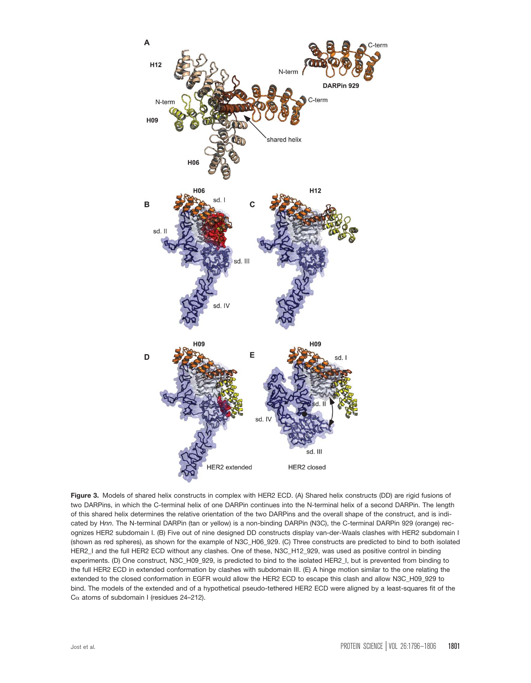

Figure 3. Models of shared helix constructs in complex with HER2 ECD. (A) Shared helix constructs (DD) are rigid fusions of two DARPins, in which the C-terminal helix of one DARPin continues into the N-terminal helix of a second DARPin. The length of this shared helix determines the relative orientation of the two DARPins and the overall shape of the construct, and is indicated by Hnn. The N-terminal DARPin (tan or yellow) is a non-binding DARPin (N3C), the C-terminal DARPin 929 (orange) recognizes HER2 subdomain I. (B) Five out of nine designed DD constructs display van-der-Waals clashes with HER2 subdomain I (shown as red spheres), as shown for the example of N3C\_H06\_929. (C) Three constructs are predicted to bind to both isolated HER2\_I and the full HER2 ECD without any clashes. One of these, N3C\_H12\_929, was used as positive control in binding experiments. (D) One construct, N3C\_H09\_929, is predicted to bind to the isolated HER2\_I, but is prevented from binding to the full HER2 ECD in extended conformation by clashes with subdomain III. (E) A hinge motion similar to the one relating the extended to the closed conformation in EGFR would allow the HER2 ECD to escape this clash and allow N3C\_H09\_929 to bind. The models of the extended and of a hypothetical pseudo-tethered HER2 ECD were aligned by a least-squares fit of the  $C\alpha$  atoms of subdomain I (residues 24-212).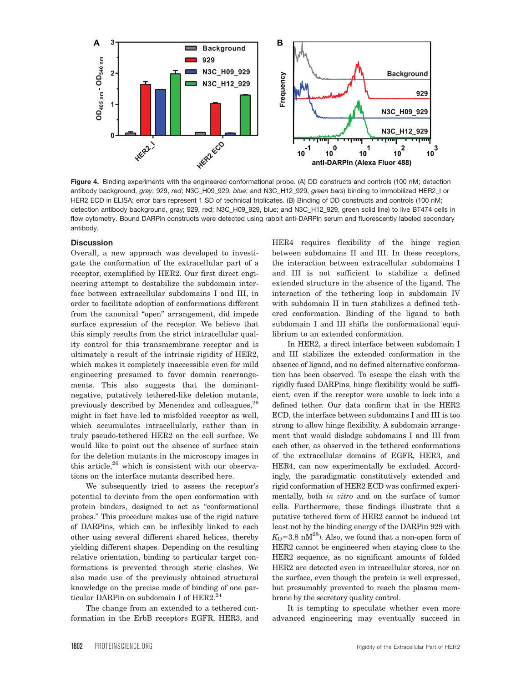

Figure 4. Binding experiments with the engineered conformational probe. (A) DD constructs and controls (100 nM; detection antibody background, gray; 929, red; N3C\_H09\_929, blue; and N3C\_H12\_929, green bars) binding to immobilized HER2\_I or HER2 ECD in ELISA; error bars represent 1 SD of technical triplicates. (B) Binding of DD constructs and controls (100 nM; detection antibody background, gray; 929, red; N3C\_H09\_929, blue; and N3C\_H12\_929, green solid line) to live BT474 cells in flow cytometry. Bound DARPin constructs were detected using rabbit anti-DARPin serum and fluorescently labeled secondary antibody.

#### **Discussion**

Overall, a new approach was developed to investigate the conformation of the extracellular part of a receptor, exemplified by HER2. Our first direct engineering attempt to destabilize the subdomain interface between extracellular subdomains I and III, in order to facilitate adoption of conformations different from the canonical "open" arrangement, did impede surface expression of the receptor. We believe that this simply results from the strict intracellular quality control for this transmembrane receptor and is ultimately a result of the intrinsic rigidity of HER2, which makes it completely inaccessible even for mild engineering presumed to favor domain rearrangements. This also suggests that the dominantnegative, putatively tethered-like deletion mutants, previously described by Menendez and colleagues, <sup>26</sup> might in fact have led to misfolded receptor as well, which accumulates intracellularly, rather than in truly pseudo-tethered HER2 on the cell surface. We would like to point out the absence of surface stain for the deletion mutants in the microscopy images in this article, $26$  which is consistent with our observations on the interface mutants described here.

We subsequently tried to assess the receptor's potential to deviate from the open conformation with protein binders, designed to act as "conformational probes." This procedure makes use of the rigid nature of DARPins, which can be inflexibly linked to each other using several different shared helices, thereby yielding different shapes. Depending on the resulting relative orientation, binding to particular target conformations is prevented through steric clashes. We also made use of the previously obtained structural knowledge on the precise mode of binding of one particular DARPin on subdomain I of HER2.<sup>24</sup>

The change from an extended to a tethered conformation in the ErbB receptors EGFR, HER3, and HER4 requires flexibility of the hinge region between subdomains II and III. In these receptors, the interaction between extracellular subdomains I and III is not sufficient to stabilize a defined extended structure in the absence of the ligand. The interaction of the tethering loop in subdomain IV with subdomain II in turn stabilizes a defined tethered conformation. Binding of the ligand to both subdomain I and III shifts the conformational equilibrium to an extended conformation.

In HER2, a direct interface between subdomain I and III stabilizes the extended conformation in the absence of ligand, and no defined alternative conformation has been observed. To escape the clash with the rigidly fused DARPins, hinge flexibility would be sufficient, even if the receptor were unable to lock into a defined tether. Our data confirm that in the HER2 ECD, the interface between subdomains I and III is too strong to allow hinge flexibility. A subdomain arrangement that would dislodge subdomains I and III from each other, as observed in the tethered conformations of the extracellular domains of EGFR, HER3, and HER4, can now experimentally be excluded. Accordingly, the paradigmatic constitutively extended and rigid conformation of HER2 ECD was confirmed experimentally, both in vitro and on the surface of tumor cells. Furthermore, these findings illustrate that a putative tethered form of HER2 cannot be induced (at least not by the binding energy of the DARPin 929 with  $K_{\rm D}$ =3.8 nM<sup>28</sup>). Also, we found that a non-open form of HER2 cannot be engineered when staying close to the HER2 sequence, as no significant amounts of folded HER2 are detected even in intracellular stores, nor on the surface, even though the protein is well expressed, but presumably prevented to reach the plasma membrane by the secretory quality control.

It is tempting to speculate whether even more advanced engineering may eventually succeed in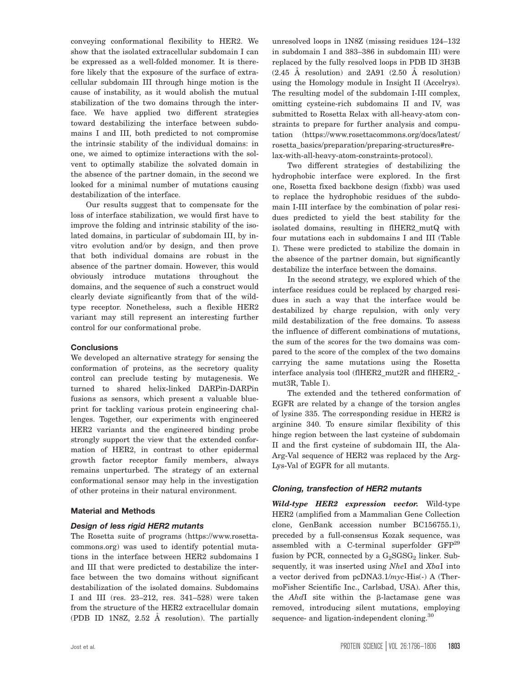conveying conformational flexibility to HER2. We show that the isolated extracellular subdomain I can be expressed as a well-folded monomer. It is therefore likely that the exposure of the surface of extracellular subdomain III through hinge motion is the cause of instability, as it would abolish the mutual stabilization of the two domains through the interface. We have applied two different strategies toward destabilizing the interface between subdomains I and III, both predicted to not compromise the intrinsic stability of the individual domains: in one, we aimed to optimize interactions with the solvent to optimally stabilize the solvated domain in the absence of the partner domain, in the second we looked for a minimal number of mutations causing destabilization of the interface.

Our results suggest that to compensate for the loss of interface stabilization, we would first have to improve the folding and intrinsic stability of the isolated domains, in particular of subdomain III, by invitro evolution and/or by design, and then prove that both individual domains are robust in the absence of the partner domain. However, this would obviously introduce mutations throughout the domains, and the sequence of such a construct would clearly deviate significantly from that of the wildtype receptor. Nonetheless, such a flexible HER2 variant may still represent an interesting further control for our conformational probe.

# **Conclusions**

We developed an alternative strategy for sensing the conformation of proteins, as the secretory quality control can preclude testing by mutagenesis. We turned to shared helix-linked DARPin-DARPin fusions as sensors, which present a valuable blueprint for tackling various protein engineering challenges. Together, our experiments with engineered HER2 variants and the engineered binding probe strongly support the view that the extended conformation of HER2, in contrast to other epidermal growth factor receptor family members, always remains unperturbed. The strategy of an external conformational sensor may help in the investigation of other proteins in their natural environment.

# Material and Methods

# Design of less rigid HER2 mutants

The Rosetta suite of programs ([https://www.rosetta](https://www.rosettacommons.org)[commons.org\)](https://www.rosettacommons.org) was used to identify potential mutations in the interface between HER2 subdomains I and III that were predicted to destabilize the interface between the two domains without significant destabilization of the isolated domains. Subdomains I and III (res. 23–212, res. 341–528) were taken from the structure of the HER2 extracellular domain (PDB ID 1N8Z, 2.52 A˚ resolution). The partially

unresolved loops in 1N8Z (missing residues 124–132 in subdomain I and 383–386 in subdomain III) were replaced by the fully resolved loops in PDB ID 3H3B  $(2.45 \text{ Å resolution})$  and  $2A91$   $(2.50 \text{ Å resolution})$ using the Homology module in Insight II (Accelrys). The resulting model of the subdomain I-III complex, omitting cysteine-rich subdomains II and IV, was submitted to Rosetta Relax with all-heavy-atom constraints to prepare for further analysis and computation ([https://www.rosettacommons.org/docs/latest/](https://www.rosettacommons.org/docs/latest/rosetta_basics/preparation/preparing-structures#relax-with-all-heavy-atom-constraints-protocol) [rosetta\\_basics/preparation/preparing-structures#re](https://www.rosettacommons.org/docs/latest/rosetta_basics/preparation/preparing-structures#relax-with-all-heavy-atom-constraints-protocol)[lax-with-all-heavy-atom-constraints-protocol](https://www.rosettacommons.org/docs/latest/rosetta_basics/preparation/preparing-structures#relax-with-all-heavy-atom-constraints-protocol)).

Two different strategies of destabilizing the hydrophobic interface were explored. In the first one, Rosetta fixed backbone design (fixbb) was used to replace the hydrophobic residues of the subdomain I-III interface by the combination of polar residues predicted to yield the best stability for the isolated domains, resulting in flHER2\_mutQ with four mutations each in subdomains I and III (Table I). These were predicted to stabilize the domain in the absence of the partner domain, but significantly destabilize the interface between the domains.

In the second strategy, we explored which of the interface residues could be replaced by charged residues in such a way that the interface would be destabilized by charge repulsion, with only very mild destabilization of the free domains. To assess the influence of different combinations of mutations, the sum of the scores for the two domains was compared to the score of the complex of the two domains carrying the same mutations using the Rosetta interface analysis tool (flHER2\_mut2R and flHER2\_ mut3R, Table I).

The extended and the tethered conformation of EGFR are related by a change of the torsion angles of lysine 335. The corresponding residue in HER2 is arginine 340. To ensure similar flexibility of this hinge region between the last cysteine of subdomain II and the first cysteine of subdomain III, the Ala-Arg-Val sequence of HER2 was replaced by the Arg-Lys-Val of EGFR for all mutants.

# Cloning, transfection of HER2 mutants

Wild-type HER2 expression vector. Wild-type HER2 (amplified from a Mammalian Gene Collection clone, GenBank accession number BC156755.1), preceded by a full-consensus Kozak sequence, was assembled with a C-terminal superfolder GFP<sup>29</sup> fusion by PCR, connected by a  $G_2SGSG_2$  linker. Subsequently, it was inserted using NheI and XbaI into a vector derived from  $pcDNA3.1/myc-His(-)$  A (ThermoFisher Scientific Inc., Carlsbad, USA). After this, the  $AhdI$  site within the  $\beta$ -lactamase gene was removed, introducing silent mutations, employing sequence- and ligation-independent cloning.<sup>30</sup>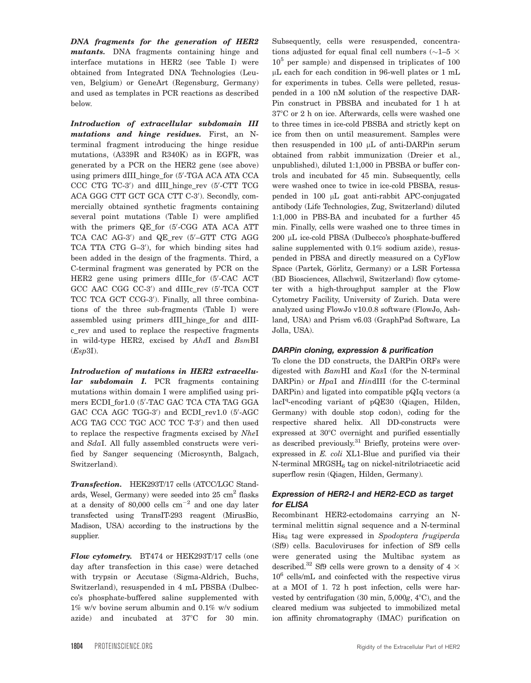DNA fragments for the generation of HER2 mutants. DNA fragments containing hinge and interface mutations in HER2 (see Table I) were obtained from Integrated DNA Technologies (Leuven, Belgium) or GeneArt (Regensburg, Germany) and used as templates in PCR reactions as described below.

Introduction of extracellular subdomain III mutations and hinge residues. First, an Nterminal fragment introducing the hinge residue mutations, (A339R and R340K) as in EGFR, was generated by a PCR on the HER2 gene (see above) using primers dIII\_hinge\_for (5'-TGA ACA ATA CCA CCC CTG TC-3') and dIII\_hinge\_rev (5'-CTT TCG ACA GGG CTT GCT GCA CTT C-3'). Secondly, commercially obtained synthetic fragments containing several point mutations (Table I) were amplified with the primers QE\_for (5'-CGG ATA ACA ATT TCA CAC AG-3') and QE\_rev (5'-GTT CTG AGG TCA TTA CTG G-3'), for which binding sites had been added in the design of the fragments. Third, a C-terminal fragment was generated by PCR on the HER2 gene using primers dIIIc\_for (5'-CAC ACT GCC AAC CGG CC-3') and dIIIc\_rev (5'-TCA CCT TCC TCA GCT CCG-3'). Finally, all three combinations of the three sub-fragments (Table I) were assembled using primers dIII\_hinge\_for and dIIIc\_rev and used to replace the respective fragments in wild-type HER2, excised by AhdI and BsmBI  $(Esp3I).$ 

Introduction of mutations in HER2 extracellular subdomain I. PCR fragments containing mutations within domain I were amplified using primers ECDI\_for1.0 (5'-TAC GAC TCA CTA TAG GGA GAC CCA AGC TGG-3') and ECDI\_rev1.0 (5'-AGC ACG TAG CCC TGC ACC TCC T-3') and then used to replace the respective fragments excised by NheI and SdaI. All fully assembled constructs were verified by Sanger sequencing (Microsynth, Balgach, Switzerland).

Transfection. HEK293T/17 cells (ATCC/LGC Standards, Wesel, Germany) were seeded into  $25 \text{ cm}^2$  flasks at a density of 80,000 cells  $cm^{-2}$  and one day later transfected using TransIT-293 reagent (MirusBio, Madison, USA) according to the instructions by the supplier.

Flow cytometry. BT474 or HEK293T/17 cells (one day after transfection in this case) were detached with trypsin or Accutase (Sigma-Aldrich, Buchs, Switzerland), resuspended in 4 mL PBSBA (Dulbecco's phosphate-buffered saline supplemented with 1% w/v bovine serum albumin and 0.1% w/v sodium azide) and incubated at  $37^{\circ}$ C for 30 min.

Subsequently, cells were resuspended, concentrations adjusted for equal final cell numbers ( $\sim$ 1–5  $\times$  $10<sup>5</sup>$  per sample) and dispensed in triplicates of 100 lL each for each condition in 96-well plates or 1 mL for experiments in tubes. Cells were pelleted, resuspended in a 100 nM solution of the respective DAR-Pin construct in PBSBA and incubated for 1 h at 37°C or 2 h on ice. Afterwards, cells were washed one to three times in ice-cold PBSBA and strictly kept on ice from then on until measurement. Samples were then resuspended in 100  $\mu$ L of anti-DARPin serum obtained from rabbit immunization (Dreier et al., unpublished), diluted 1:1,000 in PBSBA or buffer controls and incubated for 45 min. Subsequently, cells were washed once to twice in ice-cold PBSBA, resuspended in 100 µL goat anti-rabbit APC-conjugated antibody (Life Technologies, Zug, Switzerland) diluted 1:1,000 in PBS-BA and incubated for a further 45 min. Finally, cells were washed one to three times in 200 μL ice-cold PBSA (Dulbecco's phosphate-buffered saline supplemented with 0.1% sodium azide), resuspended in PBSA and directly measured on a CyFlow Space (Partek, Görlitz, Germany) or a LSR Fortessa (BD Biosciences, Allschwil, Switzerland) flow cytometer with a high-throughput sampler at the Flow Cytometry Facility, University of Zurich. Data were analyzed using FlowJo v10.0.8 software (FlowJo, Ashland, USA) and Prism v6.03 (GraphPad Software, La Jolla, USA).

# DARPin cloning, expression & purification

To clone the DD constructs, the DARPin ORFs were digested with BamHI and KasI (for the N-terminal DARPin) or HpaI and HindIII (for the C-terminal DARPin) and ligated into compatible pQIq vectors (a lacI<sup>q</sup>-encoding variant of pQE30 (Qiagen, Hilden, Germany) with double stop codon), coding for the respective shared helix. All DD-constructs were expressed at  $30^{\circ}$ C overnight and purified essentially as described previously.<sup>31</sup> Briefly, proteins were overexpressed in E. coli XL1-Blue and purified via their  $N$ -terminal  $MRGSH<sub>6</sub>$  tag on nickel-nitrilotriacetic acid superflow resin (Qiagen, Hilden, Germany).

# Expression of HER2-I and HER2-ECD as target for ELISA

Recombinant HER2-ectodomains carrying an Nterminal melittin signal sequence and a N-terminal  $His<sub>6</sub>$  tag were expressed in Spodoptera frugiperda (Sf9) cells. Baculoviruses for infection of Sf9 cells were generated using the Multibac system as described.<sup>32</sup> Sf9 cells were grown to a density of 4  $\times$  $10^6$  cells/mL and coinfected with the respective virus at a MOI of 1. 72 h post infection, cells were harvested by centrifugation  $(30 \text{ min}, 5,000g, 4^{\circ}\text{C})$ , and the cleared medium was subjected to immobilized metal ion affinity chromatography (IMAC) purification on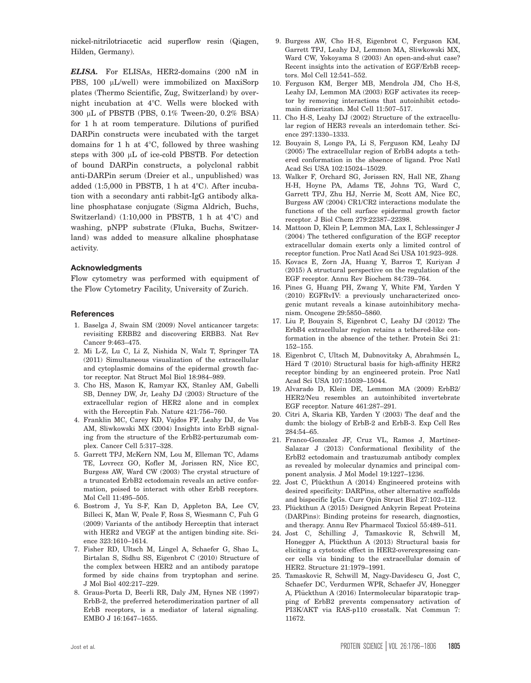nickel-nitrilotriacetic acid superflow resin (Qiagen, Hilden, Germany).

ELISA. For ELISAs, HER2-domains (200 nM in PBS, 100 µL/well) were immobilized on MaxiSorp plates (Thermo Scientific, Zug, Switzerland) by overnight incubation at 4°C. Wells were blocked with 300 µL of PBSTB (PBS, 0.1% Tween-20, 0.2% BSA) for 1 h at room temperature. Dilutions of purified DARPin constructs were incubated with the target domains for 1 h at  $4^{\circ}$ C, followed by three washing steps with  $300 \mu L$  of ice-cold PBSTB. For detection of bound DARPin constructs, a polyclonal rabbit anti-DARPin serum (Dreier et al., unpublished) was added  $(1:5,000$  in PBSTB, 1 h at  $4^{\circ}$ C). After incubation with a secondary anti rabbit-IgG antibody alkaline phosphatase conjugate (Sigma Aldrich, Buchs, Switzerland)  $(1:10,000$  in PBSTB, 1 h at  $4^{\circ}$ C) and washing, pNPP substrate (Fluka, Buchs, Switzerland) was added to measure alkaline phosphatase activity.

#### Acknowledgments

Flow cytometry was performed with equipment of the Flow Cytometry Facility, University of Zurich.

#### **References**

- 1. Baselga J, Swain SM (2009) Novel anticancer targets: revisiting ERBB2 and discovering ERBB3. Nat Rev Cancer 9:463–475.
- 2. Mi L-Z, Lu C, Li Z, Nishida N, Walz T, Springer TA (2011) Simultaneous visualization of the extracellular and cytoplasmic domains of the epidermal growth factor receptor. Nat Struct Mol Biol 18:984–989.
- 3. Cho HS, Mason K, Ramyar KX, Stanley AM, Gabelli SB, Denney DW, Jr, Leahy DJ (2003) Structure of the extracellular region of HER2 alone and in complex with the Herceptin Fab. Nature 421:756–760.
- 4. Franklin MC, Carey KD, Vajdos FF, Leahy DJ, de Vos AM, Sliwkowski MX (2004) Insights into ErbB signaling from the structure of the ErbB2-pertuzumab complex. Cancer Cell 5:317–328.
- 5. Garrett TPJ, McKern NM, Lou M, Elleman TC, Adams TE, Lovrecz GO, Kofler M, Jorissen RN, Nice EC, Burgess AW, Ward CW (2003) The crystal structure of a truncated ErbB2 ectodomain reveals an active conformation, poised to interact with other ErbB receptors. Mol Cell 11:495–505.
- 6. Bostrom J, Yu S-F, Kan D, Appleton BA, Lee CV, Billeci K, Man W, Peale F, Ross S, Wiesmann C, Fuh G (2009) Variants of the antibody Herceptin that interact with HER2 and VEGF at the antigen binding site. Science 323:1610–1614.
- 7. Fisher RD, Ultsch M, Lingel A, Schaefer G, Shao L, Birtalan S, Sidhu SS, Eigenbrot C (2010) Structure of the complex between HER2 and an antibody paratope formed by side chains from tryptophan and serine. J Mol Biol 402:217–229.
- 8. Graus-Porta D, Beerli RR, Daly JM, Hynes NE (1997) ErbB-2, the preferred heterodimerization partner of all ErbB receptors, is a mediator of lateral signaling. EMBO J 16:1647–1655.
- 9. Burgess AW, Cho H-S, Eigenbrot C, Ferguson KM, Garrett TPJ, Leahy DJ, Lemmon MA, Sliwkowski MX, Ward CW, Yokoyama S (2003) An open-and-shut case? Recent insights into the activation of EGF/ErbB receptors. Mol Cell 12:541–552.
- 10. Ferguson KM, Berger MB, Mendrola JM, Cho H-S, Leahy DJ, Lemmon MA (2003) EGF activates its receptor by removing interactions that autoinhibit ectodomain dimerization. Mol Cell 11:507–517.
- 11. Cho H-S, Leahy DJ (2002) Structure of the extracellular region of HER3 reveals an interdomain tether. Science 297:1330–1333.
- 12. Bouyain S, Longo PA, Li S, Ferguson KM, Leahy DJ (2005) The extracellular region of ErbB4 adopts a tethered conformation in the absence of ligand. Proc Natl Acad Sci USA 102:15024–15029.
- 13. Walker F, Orchard SG, Jorissen RN, Hall NE, Zhang H-H, Hoyne PA, Adams TE, Johns TG, Ward C, Garrett TPJ, Zhu HJ, Nerrie M, Scott AM, Nice EC, Burgess AW (2004) CR1/CR2 interactions modulate the functions of the cell surface epidermal growth factor receptor. J Biol Chem 279:22387–22398.
- 14. Mattoon D, Klein P, Lemmon MA, Lax I, Schlessinger J (2004) The tethered configuration of the EGF receptor extracellular domain exerts only a limited control of receptor function. Proc Natl Acad Sci USA 101:923–928.
- 15. Kovacs E, Zorn JA, Huang Y, Barros T, Kuriyan J (2015) A structural perspective on the regulation of the EGF receptor. Annu Rev Biochem 84:739–764.
- 16. Pines G, Huang PH, Zwang Y, White FM, Yarden Y (2010) EGFRvIV: a previously uncharacterized oncogenic mutant reveals a kinase autoinhibitory mechanism. Oncogene 29:5850–5860.
- 17. Liu P, Bouyain S, Eigenbrot C, Leahy DJ (2012) The ErbB4 extracellular region retains a tethered-like conformation in the absence of the tether. Protein Sci 21: 152–155.
- 18. Eigenbrot C, Ultsch M, Dubnovitsky A, Abrahmsén L, Härd T (2010) Structural basis for high-affinity HER2 receptor binding by an engineered protein. Proc Natl Acad Sci USA 107:15039–15044.
- 19. Alvarado D, Klein DE, Lemmon MA (2009) ErbB2/ HER2/Neu resembles an autoinhibited invertebrate EGF receptor. Nature 461:287–291.
- 20. Citri A, Skaria KB, Yarden Y (2003) The deaf and the dumb: the biology of ErbB-2 and ErbB-3. Exp Cell Res 284:54–65.
- 21. Franco-Gonzalez JF, Cruz VL, Ramos J, Martínez-Salazar J (2013) Conformational flexibility of the ErbB2 ectodomain and trastuzumab antibody complex as revealed by molecular dynamics and principal component analysis. J Mol Model 19:1227–1236.
- 22. Jost C, Plückthun A  $(2014)$  Engineered proteins with desired specificity: DARPins, other alternative scaffolds and bispecific IgGs. Curr Opin Struct Biol 27:102–112.
- 23. Plückthun A (2015) Designed Ankyrin Repeat Proteins (DARPins): Binding proteins for research, diagnostics, and therapy. Annu Rev Pharmacol Toxicol 55:489–511.
- 24. Jost C, Schilling J, Tamaskovic R, Schwill M, Honegger A, Plückthun A (2013) Structural basis for eliciting a cytotoxic effect in HER2-overexpressing cancer cells via binding to the extracellular domain of HER2. Structure 21:1979–1991.
- 25. Tamaskovic R, Schwill M, Nagy-Davidescu G, Jost C, Schaefer DC, Verdurmen WPR, Schaefer JV, Honegger A, Plückthun A (2016) Intermolecular biparatopic trapping of ErbB2 prevents compensatory activation of PI3K/AKT via RAS-p110 crosstalk. Nat Commun 7: 11672.